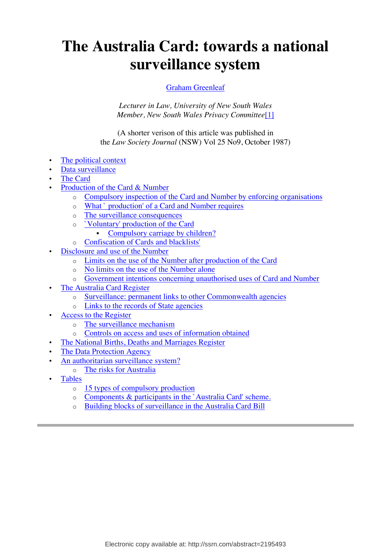# **The Australia Card: towards a national surveillance system**

### Graham Greenleaf

*Lecturer in Law, University of New South Wales Member, New South Wales Privacy Committee*[1]

(A shorter verison of this article was published in the *Law Society Journal* (NSW) Vol 25 No9, October 1987)

- The political context
- Data surveillance
- The Card
- **Production of the Card & Number** 
	- Compulsory inspection of the Card and Number by enforcing organisations
	- o What ` production' of a Card and Number requires
	- o The surveillance consequences
	- o `Voluntary' production of the Card
		- Compulsory carriage by children?
	- o Confiscation of Cards and blacklists'
- Disclosure and use of the Number
	- o Limits on the use of the Number after production of the Card
	- o No limits on the use of the Number alone
	- o Government intentions concerning unauthorised uses of Card and Number
- The Australia Card Register
	- o Surveillance: permanent links to other Commonwealth agencies
	- o Links to the records of State agencies
- Access to the Register
	- o The surveillance mechanism
	- o Controls on access and uses of information obtained
	- The National Births, Deaths and Marriages Register
- The Data Protection Agency
- An authoritarian surveillance system?
	- o The risks for Australia
- Tables
	- o 15 types of compulsory production
	- o Components & participants in the `Australia Card' scheme.
	- o Building blocks of surveillance in the Australia Card Bill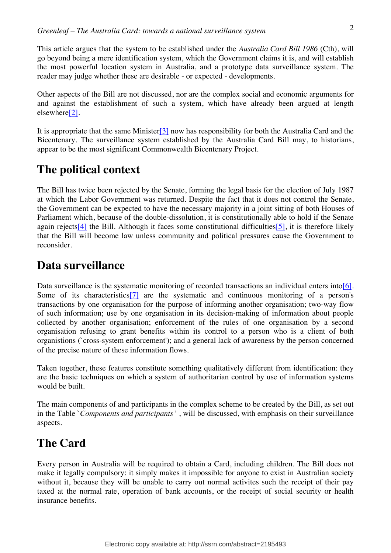This article argues that the system to be established under the *Australia Card Bill 1986* (Cth), will go beyond being a mere identification system, which the Government claims it is, and will establish the most powerful location system in Australia, and a prototype data surveillance system. The reader may judge whether these are desirable - or expected - developments.

Other aspects of the Bill are not discussed, nor are the complex social and economic arguments for and against the establishment of such a system, which have already been argued at length elsewhere[2].

It is appropriate that the same Minister[3] now has responsibility for both the Australia Card and the Bicentenary. The surveillance system established by the Australia Card Bill may, to historians, appear to be the most significant Commonwealth Bicentenary Project.

# **The political context**

The Bill has twice been rejected by the Senate, forming the legal basis for the election of July 1987 at which the Labor Government was returned. Despite the fact that it does not control the Senate, the Government can be expected to have the necessary majority in a joint sitting of both Houses of Parliament which, because of the double-dissolution, it is constitutionally able to hold if the Senate again rejects[4] the Bill. Although it faces some constitutional difficulties[5], it is therefore likely that the Bill will become law unless community and political pressures cause the Government to reconsider.

### **Data surveillance**

Data surveillance is the systematic monitoring of recorded transactions an individual enters into[6]. Some of its characteristics  $[7]$  are the systematic and continuous monitoring of a person's transactions by one organisation for the purpose of informing another organisation; two-way flow of such information; use by one organisation in its decision-making of information about people collected by another organisation; enforcement of the rules of one organisation by a second organisation refusing to grant benefits within its control to a person who is a client of both organistions (`cross-system enforcement'); and a general lack of awareness by the person concerned of the precise nature of these information flows.

Taken together, these features constitute something qualitatively different from identification: they are the basic techniques on which a system of authoritarian control by use of information systems would be built.

The main components of and participants in the complex scheme to be created by the Bill, as set out in the Table `*Components and participants* ' , will be discussed, with emphasis on their surveillance aspects.

# **The Card**

Every person in Australia will be required to obtain a Card, including children. The Bill does not make it legally compulsory: it simply makes it impossible for anyone to exist in Australian society without it, because they will be unable to carry out normal activites such the receipt of their pay taxed at the normal rate, operation of bank accounts, or the receipt of social security or health insurance benefits.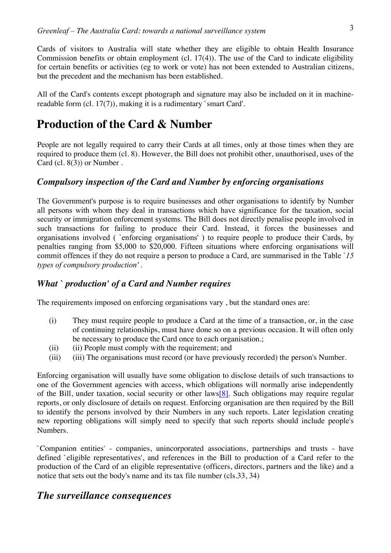Cards of visitors to Australia will state whether they are eligible to obtain Health Insurance Commission benefits or obtain employment (cl. 17(4)). The use of the Card to indicate eligibility for certain benefits or activities (eg to work or vote) has not been extended to Australian citizens, but the precedent and the mechanism has been established.

All of the Card's contents except photograph and signature may also be included on it in machinereadable form (cl. 17(7)), making it is a rudimentary `smart Card'.

### **Production of the Card & Number**

People are not legally required to carry their Cards at all times, only at those times when they are required to produce them (cl. 8). However, the Bill does not prohibit other, unauthorised, uses of the Card (cl. 8(3)) or Number .

### *Compulsory inspection of the Card and Number by enforcing organisations*

The Government's purpose is to require businesses and other organisations to identify by Number all persons with whom they deal in transactions which have significance for the taxation, social security or immigration enforcement systems. The Bill does not directly penalise people involved in such transactions for failing to produce their Card. Instead, it forces the businesses and organisations involved ( `enforcing organisations' ) to require people to produce their Cards, by penalties ranging from \$5,000 to \$20,000. Fifteen situations where enforcing organisations will commit offences if they do not require a person to produce a Card, are summarised in the Table `*15 types of compulsory production'* .

### *What ` production' of a Card and Number requires*

The requirements imposed on enforcing organisations vary , but the standard ones are:

- (i) They must require people to produce a Card at the time of a transaction, or, in the case of continuing relationships, must have done so on a previous occasion. It will often only be necessary to produce the Card once to each organisation.;
- (ii) (ii) People must comply with the requirement; and
- (iii) (iii) The organisations must record (or have previously recorded) the person's Number.

Enforcing organisation will usually have some obligation to disclose details of such transactions to one of the Government agencies with access, which obligations will normally arise independently of the Bill, under taxation, social security or other laws[8]. Such obligations may require regular reports, or only disclosure of details on request. Enforcing organisation are then required by the Bill to identify the persons involved by their Numbers in any such reports. Later legislation creating new reporting obligations will simply need to specify that such reports should include people's Numbers.

`Companion entities' - companies, unincorporated associations, partnerships and trusts - have defined `eligible representatives', and references in the Bill to production of a Card refer to the production of the Card of an eligible representative (officers, directors, partners and the like) and a notice that sets out the body's name and its tax file number (cls.33, 34)

### *The surveillance consequences*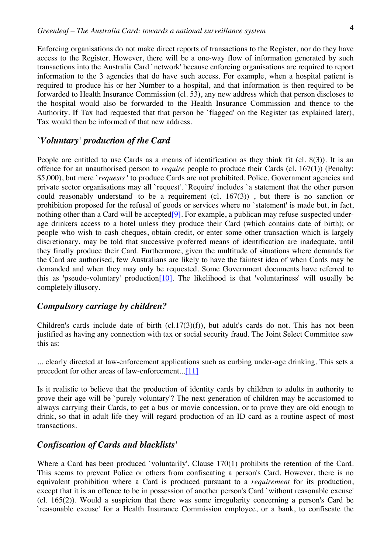Enforcing organisations do not make direct reports of transactions to the Register, nor do they have access to the Register. However, there will be a one-way flow of information generated by such transactions into the Australia Card `network' because enforcing organisations are required to report information to the 3 agencies that do have such access. For example, when a hospital patient is required to produce his or her Number to a hospital, and that information is then required to be forwarded to Health Insurance Commission (cl. 53), any new address which that person discloses to the hospital would also be forwarded to the Health Insurance Commission and thence to the Authority. If Tax had requested that that person be `flagged' on the Register (as explained later), Tax would then be informed of that new address.

### *`Voluntary' production of the Card*

People are entitled to use Cards as a means of identification as they think fit (cl. 8(3)). It is an offence for an unauthorised person to *require* people to produce their Cards (cl. 167(1)) (Penalty: \$5,000), but mere `*requests* ' to produce Cards are not prohibited. Police, Government agencies and private sector organisations may all `request'. `Require' includes `a statement that the other person could reasonably understand' to be a requirement (cl. 167(3)) , but there is no sanction or prohibition proposed for the refusal of goods or services where no `statement' is made but, in fact, nothing other than a Card will be accepted<sup>[9]</sup>. For example, a publican may refuse suspected underage drinkers access to a hotel unless they produce their Card (which contains date of birth); or people who wish to cash cheques, obtain credit, or enter some other transaction which is largely discretionary, may be told that successive proferred means of identification are inadequate, until they finally produce their Card. Furthermore, given the multitude of situations where demands for the Card are authorised, few Australians are likely to have the faintest idea of when Cards may be demanded and when they may only be requested. Some Government documents have referred to this as 'pseudo-voluntary' production[10]. The likelihood is that 'voluntariness' will usually be completely illusory.

### *Compulsory carriage by children?*

Children's cards include date of birth (cl.17(3)(f)), but adult's cards do not. This has not been justified as having any connection with tax or social security fraud. The Joint Select Committee saw this as:

... clearly directed at law-enforcement applications such as curbing under-age drinking. This sets a precedent for other areas of law-enforcement...[11]

Is it realistic to believe that the production of identity cards by children to adults in authority to prove their age will be `purely voluntary'? The next generation of children may be accustomed to always carrying their Cards, to get a bus or movie concession, or to prove they are old enough to drink, so that in adult life they will regard production of an ID card as a routine aspect of most transactions.

#### *Confiscation of Cards and blacklists'*

Where a Card has been produced `voluntarily', Clause 170(1) prohibits the retention of the Card. This seems to prevent Police or others from confiscating a person's Card. However, there is no equivalent prohibition where a Card is produced pursuant to a *requirement* for its production, except that it is an offence to be in possession of another person's Card `without reasonable excuse' (cl. 165(2)). Would a suspicion that there was some irregularity concerning a person's Card be `reasonable excuse' for a Health Insurance Commission employee, or a bank, to confiscate the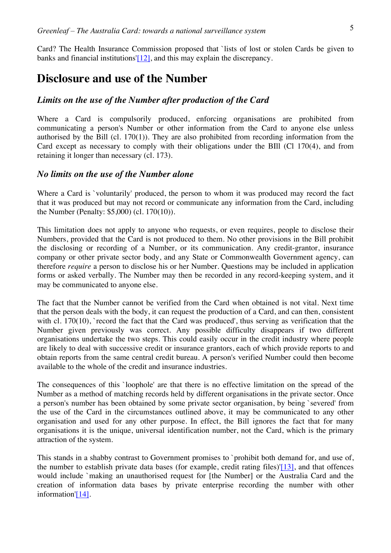Card? The Health Insurance Commission proposed that `lists of lost or stolen Cards be given to banks and financial institutions'[12], and this may explain the discrepancy.

### **Disclosure and use of the Number**

### *Limits on the use of the Number after production of the Card*

Where a Card is compulsorily produced, enforcing organisations are prohibited from communicating a person's Number or other information from the Card to anyone else unless authorised by the Bill (cl. 170(1)). They are also prohibited from recording information from the Card except as necessary to comply with their obligations under the BIII (Cl 170(4), and from retaining it longer than necessary (cl. 173).

#### *No limits on the use of the Number alone*

Where a Card is `voluntarily' produced, the person to whom it was produced may record the fact that it was produced but may not record or communicate any information from the Card, including the Number (Penalty: \$5,000) (cl. 170(10)).

This limitation does not apply to anyone who requests, or even requires, people to disclose their Numbers, provided that the Card is not produced to them. No other provisions in the Bill prohibit the disclosing or recording of a Number, or its communication. Any credit-grantor, insurance company or other private sector body, and any State or Commonwealth Government agency, can therefore *require* a person to disclose his or her Number. Questions may be included in application forms or asked verbally. The Number may then be recorded in any record-keeping system, and it may be communicated to anyone else.

The fact that the Number cannot be verified from the Card when obtained is not vital. Next time that the person deals with the body, it can request the production of a Card, and can then, consistent with cl. 170(10), `record the fact that the Card was produced', thus serving as verification that the Number given previously was correct. Any possible difficulty disappears if two different organisations undertake the two steps. This could easily occur in the credit industry where people are likely to deal with successive credit or insurance grantors, each of which provide reports to and obtain reports from the same central credit bureau. A person's verified Number could then become available to the whole of the credit and insurance industries.

The consequences of this `loophole' are that there is no effective limitation on the spread of the Number as a method of matching records held by different organisations in the private sector. Once a person's number has been obtained by some private sector organisation, by being `severed' from the use of the Card in the circumstances outlined above, it may be communicated to any other organisation and used for any other purpose. In effect, the Bill ignores the fact that for many organisations it is the unique, universal identification number, not the Card, which is the primary attraction of the system.

This stands in a shabby contrast to Government promises to `prohibit both demand for, and use of, the number to establish private data bases (for example, credit rating files)'[13], and that offences would include `making an unauthorised request for [the Number] or the Australia Card and the creation of information data bases by private enterprise recording the number with other information'[14].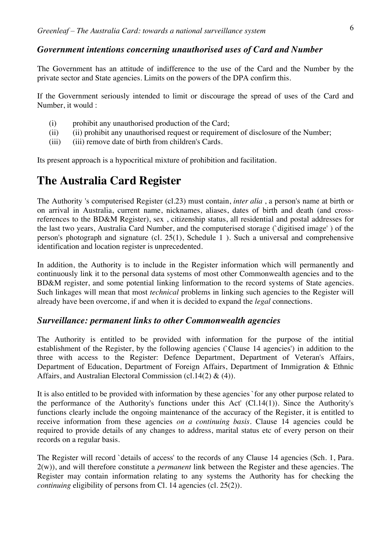### *Government intentions concerning unauthorised uses of Card and Number*

The Government has an attitude of indifference to the use of the Card and the Number by the private sector and State agencies. Limits on the powers of the DPA confirm this.

If the Government seriously intended to limit or discourage the spread of uses of the Card and Number, it would :

- (i) prohibit any unauthorised production of the Card;
- (ii) (ii) prohibit any unauthorised request or requirement of disclosure of the Number;
- (iii) (iii) remove date of birth from children's Cards.

Its present approach is a hypocritical mixture of prohibition and facilitation.

# **The Australia Card Register**

The Authority 's computerised Register (cl.23) must contain, *inter alia* , a person's name at birth or on arrival in Australia, current name, nicknames, aliases, dates of birth and death (and crossreferences to the BD&M Register), sex , citizenship status, all residential and postal addresses for the last two years, Australia Card Number, and the computerised storage (`digitised image' ) of the person's photograph and signature (cl. 25(1), Schedule 1 ). Such a universal and comprehensive identification and location register is unprecedented.

In addition, the Authority is to include in the Register information which will permanently and continuously link it to the personal data systems of most other Commonwealth agencies and to the BD&M register, and some potential linking linformation to the record systems of State agencies. Such linkages will mean that most *technical* problems in linking such agencies to the Register will already have been overcome, if and when it is decided to expand the *legal* connections.

#### *Surveillance: permanent links to other Commonwealth agencies*

The Authority is entitled to be provided with information for the purpose of the intitial establishment of the Register, by the following agencies (`Clause 14 agencies') in addition to the three with access to the Register: Defence Department, Department of Veteran's Affairs, Department of Education, Department of Foreign Affairs, Department of Immigration & Ethnic Affairs, and Australian Electoral Commission (cl.14(2)  $\&$  (4)).

It is also entitled to be provided with information by these agencies `for any other purpose related to the performance of the Authority's functions under this Act' (Cl.14(1)). Since the Authority's functions clearly include the ongoing maintenance of the accuracy of the Register, it is entitled to receive information from these agencies *on a continuing basis*. Clause 14 agencies could be required to provide details of any changes to address, marital status etc of every person on their records on a regular basis.

The Register will record `details of access' to the records of any Clause 14 agencies (Sch. 1, Para. 2(w)), and will therefore constitute a *permanent* link between the Register and these agencies. The Register may contain information relating to any systems the Authority has for checking the *continuing eligibility of persons from Cl. 14 agencies (cl. 25(2)).*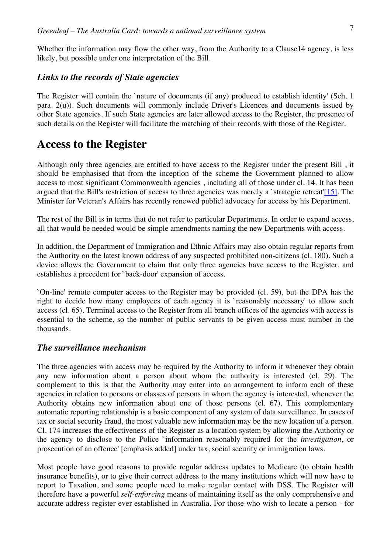Whether the information may flow the other way, from the Authority to a Clause 14 agency, is less likely, but possible under one interpretation of the Bill.

#### *Links to the records of State agencies*

The Register will contain the `nature of documents (if any) produced to establish identity' (Sch. 1 para. 2(u)). Such documents will commonly include Driver's Licences and documents issued by other State agencies. If such State agencies are later allowed access to the Register, the presence of such details on the Register will facilitate the matching of their records with those of the Register.

### **Access to the Register**

Although only three agencies are entitled to have access to the Register under the present Bill , it should be emphasised that from the inception of the scheme the Government planned to allow access to most significant Commonwealth agencies , including all of those under cl. 14. It has been argued that the Bill's restriction of access to three agencies was merely a 'strategic retreat'[15]. The Minister for Veteran's Affairs has recently renewed publicl advocacy for access by his Department.

The rest of the Bill is in terms that do not refer to particular Departments. In order to expand access, all that would be needed would be simple amendments naming the new Departments with access.

In addition, the Department of Immigration and Ethnic Affairs may also obtain regular reports from the Authority on the latest known address of any suspected prohibited non-citizens (cl. 180). Such a device allows the Government to claim that only three agencies have access to the Register, and establishes a precedent for `back-door' expansion of access.

`On-line' remote computer access to the Register may be provided (cl. 59), but the DPA has the right to decide how many employees of each agency it is `reasonably necessary' to allow such access (cl. 65). Terminal access to the Register from all branch offices of the agencies with access is essential to the scheme, so the number of public servants to be given access must number in the thousands.

#### *The surveillance mechanism*

The three agencies with access may be required by the Authority to inform it whenever they obtain any new information about a person about whom the authority is interested (cl. 29). The complement to this is that the Authority may enter into an arrangement to inform each of these agencies in relation to persons or classes of persons in whom the agency is interested, whenever the Authority obtains new information about one of those persons (cl. 67). This complementary automatic reporting relationship is a basic component of any system of data surveillance. In cases of tax or social security fraud, the most valuable new information may be the new location of a person. Cl. 174 increases the effectiveness of the Register as a location system by allowing the Authority or the agency to disclose to the Police `information reasonably required for the *investigation*, or prosecution of an offence' [emphasis added] under tax, social security or immigration laws.

Most people have good reasons to provide regular address updates to Medicare (to obtain health insurance benefits), or to give their correct address to the many institutions which will now have to report to Taxation, and some people need to make regular contact with DSS. The Register will therefore have a powerful *self-enforcing* means of maintaining itself as the only comprehensive and accurate address register ever established in Australia. For those who wish to locate a person - for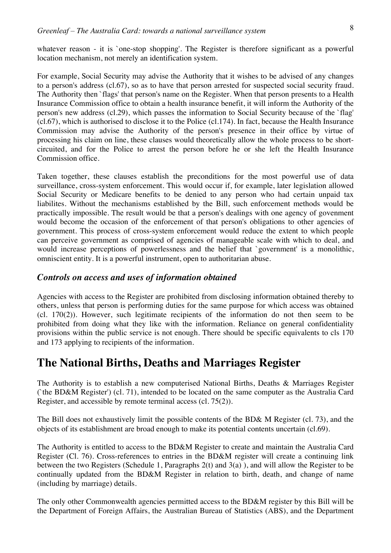whatever reason - it is `one-stop shopping'. The Register is therefore significant as a powerful location mechanism, not merely an identification system.

For example, Social Security may advise the Authority that it wishes to be advised of any changes to a person's address (cl.67), so as to have that person arrested for suspected social security fraud. The Authority then `flags' that person's name on the Register. When that person presents to a Health Insurance Commission office to obtain a health insurance benefit, it will inform the Authority of the person's new address (cl.29), which passes the information to Social Security because of the `flag' (cl.67), which is authorised to disclose it to the Police (cl.174). In fact, because the Health Insurance Commission may advise the Authority of the person's presence in their office by virtue of processing his claim on line, these clauses would theoretically allow the whole process to be shortcircuited, and for the Police to arrest the person before he or she left the Health Insurance Commission office.

Taken together, these clauses establish the preconditions for the most powerful use of data surveillance, cross-system enforcement. This would occur if, for example, later legislation allowed Social Security or Medicare benefits to be denied to any person who had certain unpaid tax liabilites. Without the mechanisms established by the Bill, such enforcement methods would be practically impossible. The result would be that a person's dealings with one agency of govenment would become the occasion of the enforcement of that person's obligations to other agencies of government. This process of cross-system enforcement would reduce the extent to which people can perceive government as comprised of agencies of manageable scale with which to deal, and would increase perceptions of powerlessness and the belief that `government' is a monolithic, omniscient entity. It is a powerful instrument, open to authoritarian abuse.

### *Controls on access and uses of information obtained*

Agencies with access to the Register are prohibited from disclosing information obtained thereby to others, unless that person is performing duties for the same purpose for which access was obtained (cl. 170(2)). However, such legitimate recipients of the information do not then seem to be prohibited from doing what they like with the information. Reliance on general confidentiality provisions within the public service is not enough. There should be specific equivalents to cls 170 and 173 applying to recipients of the information.

### **The National Births, Deaths and Marriages Register**

The Authority is to establish a new computerised National Births, Deaths & Marriages Register (`the BD&M Register') (cl. 71), intended to be located on the same computer as the Australia Card Register, and accessible by remote terminal access (cl. 75(2)).

The Bill does not exhaustively limit the possible contents of the BD& M Register (cl. 73), and the objects of its establishment are broad enough to make its potential contents uncertain (cl.69).

The Authority is entitled to access to the BD&M Register to create and maintain the Australia Card Register (Cl. 76). Cross-references to entries in the BD&M register will create a continuing link between the two Registers (Schedule 1, Paragraphs 2(t) and 3(a) ), and will allow the Register to be continually updated from the BD&M Register in relation to birth, death, and change of name (including by marriage) details.

The only other Commonwealth agencies permitted access to the BD&M register by this Bill will be the Department of Foreign Affairs, the Australian Bureau of Statistics (ABS), and the Department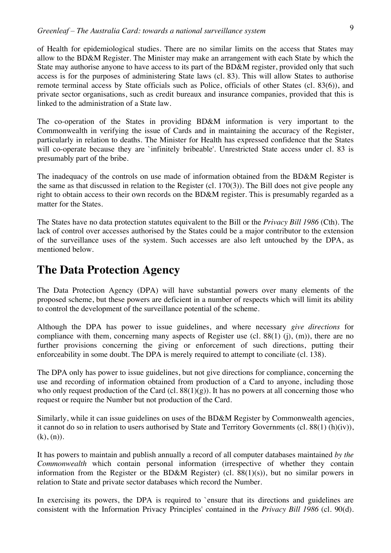of Health for epidemiological studies. There are no similar limits on the access that States may allow to the BD&M Register. The Minister may make an arrangement with each State by which the State may authorise anyone to have access to its part of the BD&M register, provided only that such access is for the purposes of administering State laws (cl. 83). This will allow States to authorise remote terminal access by State officials such as Police, officials of other States (cl. 83(6)), and private sector organisations, such as credit bureaux and insurance companies, provided that this is linked to the administration of a State law.

The co-operation of the States in providing BD&M information is very important to the Commonwealth in verifying the issue of Cards and in maintaining the accuracy of the Register, particularly in relation to deaths. The Minister for Health has expressed confidence that the States will co-operate because they are `infinitely bribeable'. Unrestricted State access under cl. 83 is presumably part of the bribe.

The inadequacy of the controls on use made of information obtained from the BD&M Register is the same as that discussed in relation to the Register (cl. 170(3)). The Bill does not give people any right to obtain access to their own records on the BD&M register. This is presumably regarded as a matter for the States.

The States have no data protection statutes equivalent to the Bill or the *Privacy Bill 1986* (Cth). The lack of control over accesses authorised by the States could be a major contributor to the extension of the surveillance uses of the system. Such accesses are also left untouched by the DPA, as mentioned below.

# **The Data Protection Agency**

The Data Protection Agency (DPA) will have substantial powers over many elements of the proposed scheme, but these powers are deficient in a number of respects which will limit its ability to control the development of the surveillance potential of the scheme.

Although the DPA has power to issue guidelines, and where necessary *give directions* for compliance with them, concerning many aspects of Register use (cl.  $88(1)$  (j), (m)), there are no further provisions concerning the giving or enforcement of such directions, putting their enforceability in some doubt. The DPA is merely required to attempt to conciliate (cl. 138).

The DPA only has power to issue guidelines, but not give directions for compliance, concerning the use and recording of information obtained from production of a Card to anyone, including those who only request production of the Card (cl.  $88(1)(g)$ ). It has no powers at all concerning those who request or require the Number but not production of the Card.

Similarly, while it can issue guidelines on uses of the BD&M Register by Commonwealth agencies, it cannot do so in relation to users authorised by State and Territory Governments (cl. 88(1) (h)(iv)),  $(k), (n)$ .

It has powers to maintain and publish annually a record of all computer databases maintained *by the Commonwealth* which contain personal information (irrespective of whether they contain information from the Register or the BD&M Register) (cl. 88(1)(s)), but no similar powers in relation to State and private sector databases which record the Number.

In exercising its powers, the DPA is required to 'ensure that its directions and guidelines are consistent with the Information Privacy Principles' contained in the *Privacy Bill 1986* (cl. 90(d).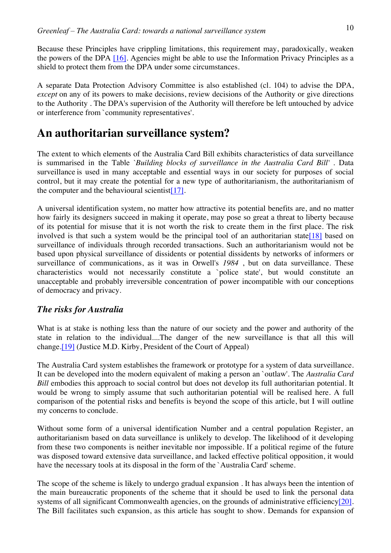Because these Principles have crippling limitations, this requirement may, paradoxically, weaken the powers of the DPA [16]. Agencies might be able to use the Information Privacy Principles as a shield to protect them from the DPA under some circumstances.

A separate Data Protection Advisory Committee is also established (cl. 104) to advise the DPA, *except* on any of its powers to make decisions, review decisions of the Authority or give directions to the Authority . The DPA's supervision of the Authority will therefore be left untouched by advice or interference from `community representatives'.

### **An authoritarian surveillance system?**

The extent to which elements of the Australia Card Bill exhibits characteristics of data surveillance is summarised in the Table *`Building blocks of surveillance in the Australia Card Bill'* . Data surveillance is used in many acceptable and essential ways in our society for purposes of social control, but it may create the potential for a new type of authoritarianism, the authoritarianism of the computer and the behavioural scientist  $[17]$ .

A universal identification system, no matter how attractive its potential benefits are, and no matter how fairly its designers succeed in making it operate, may pose so great a threat to liberty because of its potential for misuse that it is not worth the risk to create them in the first place. The risk involved is that such a system would be the principal tool of an authoritarian state [18] based on surveillance of individuals through recorded transactions. Such an authoritarianism would not be based upon physical surveillance of dissidents or potential dissidents by networks of informers or surveillance of communications, as it was in Orwell's *1984* , but on data surveillance. These characteristics would not necessarily constitute a `police state', but would constitute an unacceptable and probably irreversible concentration of power incompatible with our conceptions of democracy and privacy.

### *The risks for Australia*

What is at stake is nothing less than the nature of our society and the power and authority of the state in relation to the individual....The danger of the new surveillance is that all this will change.[19] (Justice M.D. Kirby, President of the Court of Appeal)

The Australia Card system establishes the framework or prototype for a system of data surveillance. It can be developed into the modern equivalent of making a person an `outlaw'. The *Australia Card Bill* embodies this approach to social control but does not develop its full authoritarian potential. It would be wrong to simply assume that such authoritarian potential will be realised here. A full comparison of the potential risks and benefits is beyond the scope of this article, but I will outline my concerns to conclude.

Without some form of a universal identification Number and a central population Register, an authoritarianism based on data surveillance is unlikely to develop. The likelihood of it developing from these two components is neither inevitable nor impossible. If a political regime of the future was disposed toward extensive data surveillance, and lacked effective political opposition, it would have the necessary tools at its disposal in the form of the `Australia Card' scheme.

The scope of the scheme is likely to undergo gradual expansion . It has always been the intention of the main bureaucratic proponents of the scheme that it should be used to link the personal data systems of all significant Commonwealth agencies, on the grounds of administrative efficiency[20]. The Bill facilitates such expansion, as this article has sought to show. Demands for expansion of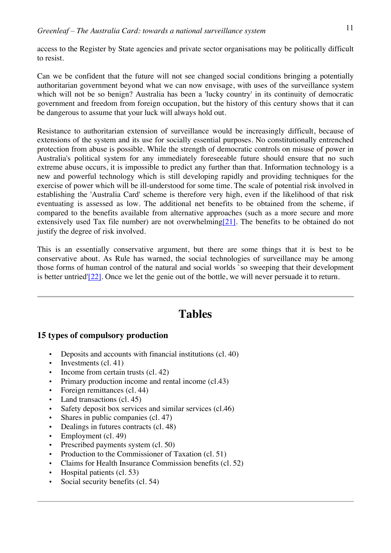access to the Register by State agencies and private sector organisations may be politically difficult to resist.

Can we be confident that the future will not see changed social conditions bringing a potentially authoritarian government beyond what we can now envisage, with uses of the surveillance system which will not be so benign? Australia has been a 'lucky country' in its continuity of democratic government and freedom from foreign occupation, but the history of this century shows that it can be dangerous to assume that your luck will always hold out.

Resistance to authoritarian extension of surveillance would be increasingly difficult, because of extensions of the system and its use for socially essential purposes. No constitutionally entrenched protection from abuse is possible. While the strength of democratic controls on misuse of power in Australia's political system for any immediately foreseeable future should ensure that no such extreme abuse occurs, it is impossible to predict any further than that. Information technology is a new and powerful technology which is still developing rapidly and providing techniques for the exercise of power which will be ill-understood for some time. The scale of potential risk involved in establishing the 'Australia Card' scheme is therefore very high, even if the likelihood of that risk eventuating is assessed as low. The additional net benefits to be obtained from the scheme, if compared to the benefits available from alternative approaches (such as a more secure and more extensively used Tax file number) are not overwhelming[21]. The benefits to be obtained do not justify the degree of risk involved.

This is an essentially conservative argument, but there are some things that it is best to be conservative about. As Rule has warned, the social technologies of surveillance may be among those forms of human control of the natural and social worlds `so sweeping that their development is better untried'[22]. Once we let the genie out of the bottle, we will never persuade it to return.

# **Tables**

### **15 types of compulsory production**

- Deposits and accounts with financial institutions (cl. 40)
- Investments (cl. 41)
- Income from certain trusts (cl. 42)
- Primary production income and rental income (cl.43)
- Foreign remittances (cl. 44)
- Land transactions (cl. 45)
- Safety deposit box services and similar services (cl.46)
- Shares in public companies (cl. 47)
- Dealings in futures contracts (cl. 48)
- Employment (cl. 49)
- Prescribed payments system (cl. 50)
- Production to the Commissioner of Taxation (cl. 51)
- Claims for Health Insurance Commission benefits (cl. 52)
- Hospital patients (cl. 53)
- Social security benefits (cl. 54)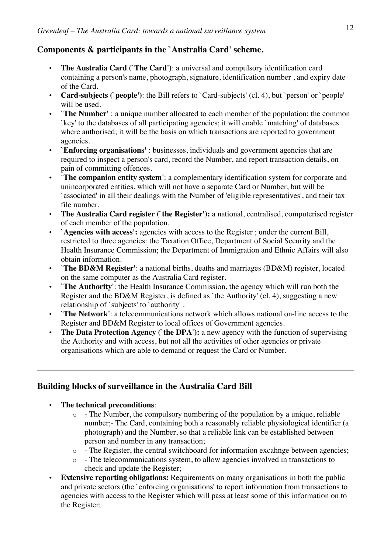### **Components & participants in the `Australia Card' scheme.**

- **The Australia Card (`The Card')**: a universal and compulsory identification card containing a person's name, photograph, signature, identification number , and expiry date of the Card.
- **Card-subjects (`people')**: the Bill refers to `Card-subjects' (cl. 4), but `person' or `people' will be used.
- **`The Number'** : a unique number allocated to each member of the population; the common `key' to the databases of all participating agencies; it will enable `matching' of databases where authorised; it will be the basis on which transactions are reported to government agencies.
- **`Enforcing organisations'** : businesses, individuals and government agencies that are required to inspect a person's card, record the Number, and report transaction details, on pain of committing offences.
- `**The companion entity system'**: a complementary identification system for corporate and unincorporated entities, which will not have a separate Card or Number, but will be `associated' in all their dealings with the Number of 'eligible representatives', and their tax file number.
- **The Australia Card register (`the Register'):** a national, centralised, computerised register of each member of the population.
- **`Agencies with access':** agencies with access to the Register ; under the current Bill, restricted to three agencies: the Taxation Office, Department of Social Security and the Health Insurance Commission; the Department of Immigration and Ethnic Affairs will also obtain information.
- `**The BD&M Register'**: a national births, deaths and marriages (BD&M) register, located on the same computer as the Australia Card register.
- **`The Authority'**: the Health Insurance Commission, the agency which will run both the Register and the BD&M Register, is defined as `the Authority' (cl. 4), suggesting a new relationship of `subjects' to `authority' .
- `**The Network'**: a telecommunications network which allows national on-line access to the Register and BD&M Register to local offices of Government agencies.
- **The Data Protection Agency (`the DPA'):** a new agency with the function of supervising the Authority and with access, but not all the activities of other agencies or private organisations which are able to demand or request the Card or Number.

### **Building blocks of surveillance in the Australia Card Bill**

- **The technical preconditions**:
	- $\circ$  The Number, the compulsory numbering of the population by a unique, reliable number;- The Card, containing both a reasonably reliable physiological identifier (a photograph) and the Number, so that a reliable link can be established between person and number in any transaction;
	- o The Register, the central switchboard for information excahnge between agencies;
	- o The telecommunications system, to allow agencies involved in transactions to check and update the Register;
- **Extensive reporting obligations:** Requirements on many organisations in both the public and private sectors (the `enforcing organisations' to report information from transactions to agencies with access to the Register which will pass at least some of this information on to the Register;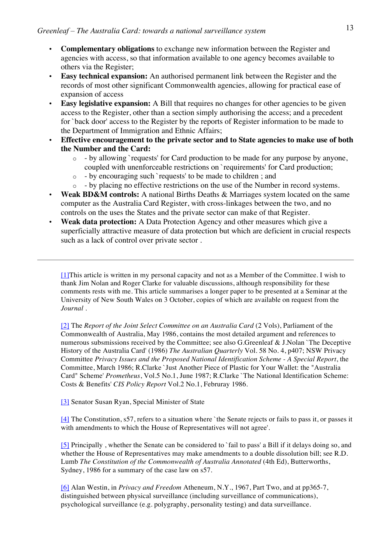- **Complementary obligations** to exchange new information between the Register and agencies with access, so that information available to one agency becomes available to others via the Register;
- **Easy technical expansion:** An authorised permanent link between the Register and the records of most other significant Commonwealth agencies, allowing for practical ease of expansion of access
- **Easy legislative expansion:** A Bill that requires no changes for other agencies to be given access to the Register, other than a section simply authorising the access; and a precedent for `back door' access to the Register by the reports of Register information to be made to the Department of Immigration and Ethnic Affairs;
- **Effective encouragement to the private sector and to State agencies to make use of both the Number and the Card:**
	- o by allowing `requests' for Card production to be made for any purpose by anyone, coupled with unenforceable restrictions on `requirements' for Card production;
	- o by encouraging such `requests' to be made to children ; and
	- o by placing no effective restrictions on the use of the Number in record systems.
- **Weak BD&M controls:** A national Births Deaths & Marriages system located on the same computer as the Australia Card Register, with cross-linkages between the two, and no controls on the uses the States and the private sector can make of that Register.
- **Weak data protection:** A Data Protection Agency and other measures which give a superficially attractive measure of data protection but which are deficient in crucial respects such as a lack of control over private sector .

[1]This article is written in my personal capacity and not as a Member of the Committee. I wish to thank Jim Nolan and Roger Clarke for valuable discussions, although responsibility for these comments rests with me. This article summarises a longer paper to be presented at a Seminar at the University of New South Wales on 3 October, copies of which are available on request from the *Journal* .

[2] The *Report of the Joint Select Committee on an Australia Card* (2 Vols), Parliament of the Commonwealth of Australia, May 1986, contains the most detailed argument and references to numerous subsmissions received by the Committee; see also G.Greenleaf & J.Nolan `The Deceptive History of the Australia Card' (1986) *The Australian Quarterly* Vol. 58 No. 4, p407; NSW Privacy Committee *Privacy Issues and the Proposed National Identification Scheme - A Special Report*, the Committee, March 1986; R.Clarke `Just Another Piece of Plastic for Your Wallet: the "Australia Card" Scheme' *Prometheus*, Vol.5 No.1, June 1987; R.Clarke `The National Identification Scheme: Costs & Benefits' *CIS Policy Report* Vol.2 No.1, Februray 1986.

[3] Senator Susan Ryan, Special Minister of State

[4] The Constitution, s57, refers to a situation where `the Senate rejects or fails to pass it, or passes it with amendments to which the House of Representatives will not agree'.

[5] Principally , whether the Senate can be considered to `fail to pass' a Bill if it delays doing so, and whether the House of Representatives may make amendments to a double dissolution bill; see R.D. Lumb *The Constitution of the Commonwealth of Australia Annotated* (4th Ed), Butterworths, Sydney, 1986 for a summary of the case law on s57.

[6] Alan Westin, in *Privacy and Freedom* Atheneum, N.Y., 1967, Part Two, and at pp365-7, distinguished between physical surveillance (including surveillance of communications), psychological surveillance (e.g. polygraphy, personality testing) and data surveillance.